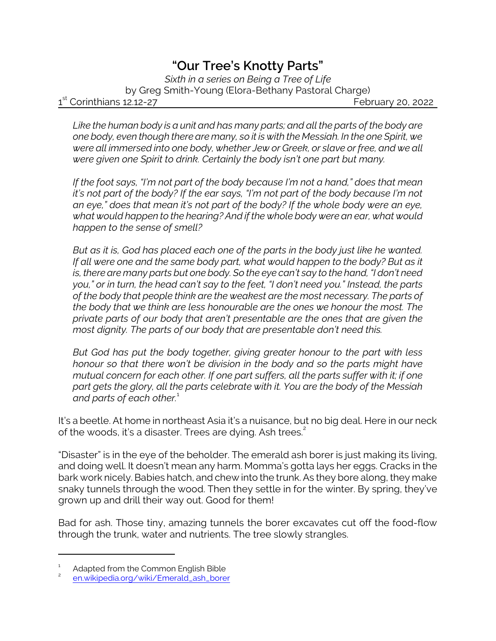## *"Our Tree's Knotty Parts"*

*Sixth in a series on Being a Tree of Life* by Greg Smith-Young (Elora-Bethany Pastoral Charge) 1 st Corinthians 12.12-27 February 20, 2022

*Like the human body is a unit and has many parts; and all the parts of the body are one body, even though there are many, so it is with the Messiah. In the one Spirit, we were all immersed into one body, whether Jew or Greek, or slave or free, and we all were given one Spirit to drink. Certainly the body isn't one part but many.* 

*If the foot says, "I'm not part of the body because I'm not a hand," does that mean it's not part of the body? If the ear says, "I'm not part of the body because I'm not an eye," does that mean it's not part of the body? If the whole body were an eye, what would happen to the hearing? And if the whole body were an ear, what would happen to the sense of smell?* 

*But as it is, God has placed each one of the parts in the body just like he wanted. If all were one and the same body part, what would happen to the body? But as it is, there are many parts but one body. So the eye can't say to the hand, "I don't need you," or in turn, the head can't say to the feet, "I don't need you." Instead, the parts of the body that people think are the weakest are the most necessary. The parts of the body that we think are less honourable are the ones we honour the most. The private parts of our body that aren't presentable are the ones that are given the most dignity. The parts of our body that are presentable don't need this.* 

*But God has put the body together, giving greater honour to the part with less honour so that there won't be division in the body and so the parts might have mutual concern for each other. If one part suffers, all the parts suffer with it; if one part gets the glory, all the parts celebrate with it. You are the body of the Messiah and parts of each other.*<sup>1</sup>

It's a beetle. At home in northeast Asia it's a nuisance, but no big deal. Here in our neck of the woods, it's a disaster. Trees are dying. Ash trees.<sup>2</sup>

"Disaster" is in the eye of the beholder. The emerald ash borer is just making its living, and doing well. It doesn't mean any harm. Momma's gotta lays her eggs. Cracks in the bark work nicely. Babies hatch, and chew into the trunk. As they bore along, they make snaky tunnels through the wood. Then they settle in for the winter. By spring, they've grown up and drill their way out. Good for them!

Bad for ash. Those tiny, amazing tunnels the borer excavates cut off the food-flow through the trunk, water and nutrients. The tree slowly strangles.

<sup>1</sup> Adapted from the Common English Bible

<sup>2</sup> [en.wikipedia.org/wiki/Emerald\\_ash\\_borer](https://en.wikipedia.org/wiki/Emerald_ash_borer)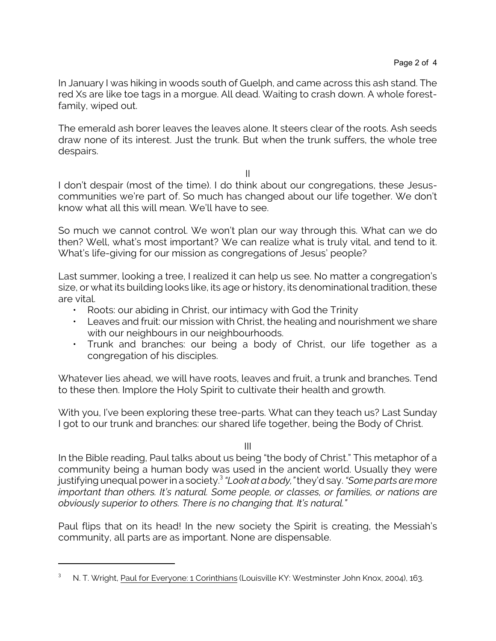In January I was hiking in woods south of Guelph, and came across this ash stand. The red Xs are like toe tags in a morgue. All dead. Waiting to crash down. A whole forestfamily, wiped out.

The emerald ash borer leaves the leaves alone. It steers clear of the roots. Ash seeds draw none of its interest. Just the trunk. But when the trunk suffers, the whole tree despairs.

II

I don't despair (most of the time). I do think about our congregations, these Jesuscommunities we're part of. So much has changed about our life together. We don't know what all this will mean. We'll have to see.

So much we cannot control. We won't plan our way through this. What can we do then? Well, what's most important? We can realize what is truly vital, and tend to it. What's life-giving for our mission as congregations of Jesus' people?

Last summer, looking a tree, I realized it can help us see. No matter a congregation's size, or what its building looks like, its age or history, its denominational tradition, these are vital.

- Roots: our abiding in Christ, our intimacy with God the Trinity
- Leaves and fruit: our mission with Christ, the healing and nourishment we share with our neighbours in our neighbourhoods.
- Trunk and branches: our being a body of Christ, our life together as a congregation of his disciples.

Whatever lies ahead, we will have roots, leaves and fruit, a trunk and branches. Tend to these then. Implore the Holy Spirit to cultivate their health and growth.

With you, I've been exploring these tree-parts. What can they teach us? Last Sunday I got to our trunk and branches: our shared life together, being the Body of Christ.

III

In the Bible reading, Paul talks about us being "the body of Christ." This metaphor of a community being a human body was used in the ancient world. Usually they were justifying unequal power in a society. 3 *"Look at a body,"*they'd say. *"Some parts are more important than others. It's natural. Some people, or classes, or families, or nations are obviously superior to others. There is no changing that. It's natural."*

Paul flips that on its head! In the new society the Spirit is creating, the Messiah's community, all parts are as important. None are dispensable.

<sup>3</sup> N. T. Wright, Paul for Everyone: 1 Corinthians (Louisville KY: Westminster John Knox, 2004), 163.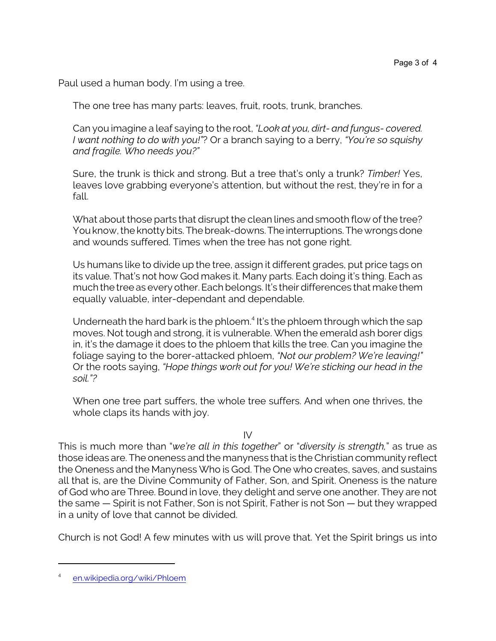Paul used a human body. I'm using a tree.

The one tree has many parts: leaves, fruit, roots, trunk, branches.

Can you imagine a leaf saying to the root, *"Look at you, dirt- and fungus- covered. I want nothing to do with you!"*? Or a branch saying to a berry, *"You're so squishy and fragile. Who needs you?"*

Sure, the trunk is thick and strong. But a tree that's only a trunk? *Timber!* Yes, leaves love grabbing everyone's attention, but without the rest, they're in for a fall.

What about those parts that disrupt the clean lines and smooth flow of the tree? You know, the knotty bits. The break-downs. The interruptions. The wrongs done and wounds suffered. Times when the tree has not gone right.

Us humans like to divide up the tree, assign it different grades, put price tags on its value. That's not how God makes it. Many parts. Each doing it's thing. Each as much the tree as every other. Each belongs. It's their differences that make them equally valuable, inter-dependant and dependable.

Underneath the hard bark is the phloem.<sup>4</sup> It's the phloem through which the sap moves. Not tough and strong, it is vulnerable. When the emerald ash borer digs in, it's the damage it does to the phloem that kills the tree. Can you imagine the foliage saying to the borer-attacked phloem, *"Not our problem? We're leaving!"* Or the roots saying, *"Hope things work out for you! We're sticking our head in the soil."?* 

When one tree part suffers, the whole tree suffers. And when one thrives, the whole claps its hands with joy.

IV

This is much more than "*we're all in this together*" or "*diversity is strength,*" as true as those ideas are. The oneness and the manyness that is the Christian community reflect the Oneness and the Manyness Who is God. The One who creates, saves, and sustains all that is, are the Divine Community of Father, Son, and Spirit. Oneness is the nature of God who are Three. Bound in love, they delight and serve one another. They are not the same — Spirit is not Father, Son is not Spirit, Father is not Son — but they wrapped in a unity of love that cannot be divided.

Church is not God! A few minutes with us will prove that. Yet the Spirit brings us into

<sup>4</sup> [en.wikipedia.org/wiki/Phloem](https://en.wikipedia.org/wiki/Phloem)